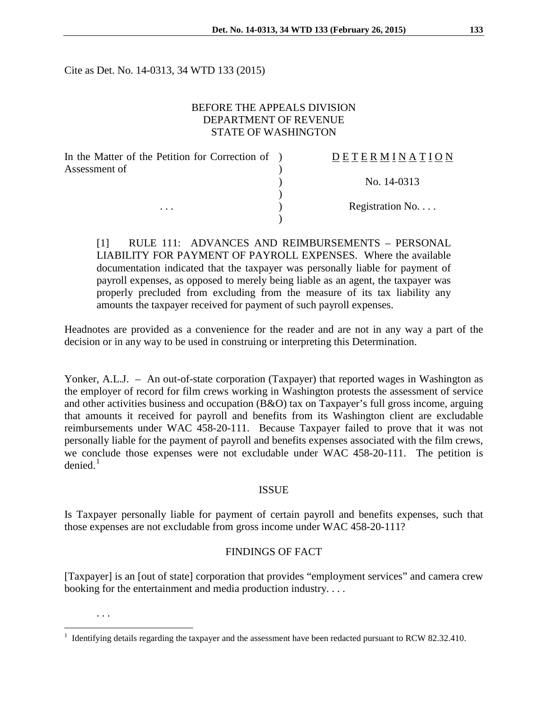Cite as Det. No. 14-0313, 34 WTD 133 (2015)

## BEFORE THE APPEALS DIVISION DEPARTMENT OF REVENUE STATE OF WASHINGTON

| In the Matter of the Petition for Correction of ) | DETERMINATION   |
|---------------------------------------------------|-----------------|
| Assessment of                                     |                 |
|                                                   | No. 14-0313     |
|                                                   |                 |
| $\cdots$                                          | Registration No |
|                                                   |                 |

[1] RULE 111: ADVANCES AND REIMBURSEMENTS – PERSONAL LIABILITY FOR PAYMENT OF PAYROLL EXPENSES. Where the available documentation indicated that the taxpayer was personally liable for payment of payroll expenses, as opposed to merely being liable as an agent, the taxpayer was properly precluded from excluding from the measure of its tax liability any amounts the taxpayer received for payment of such payroll expenses.

Headnotes are provided as a convenience for the reader and are not in any way a part of the decision or in any way to be used in construing or interpreting this Determination.

Yonker, A.L.J. – An out-of-state corporation (Taxpayer) that reported wages in Washington as the employer of record for film crews working in Washington protests the assessment of service and other activities business and occupation (B&O) tax on Taxpayer's full gross income, arguing that amounts it received for payroll and benefits from its Washington client are excludable reimbursements under WAC 458-20-111. Because Taxpayer failed to prove that it was not personally liable for the payment of payroll and benefits expenses associated with the film crews, we conclude those expenses were not excludable under WAC 458-20-111. The petition is  $denied.<sup>1</sup>$  $denied.<sup>1</sup>$  $denied.<sup>1</sup>$ 

#### ISSUE

Is Taxpayer personally liable for payment of certain payroll and benefits expenses, such that those expenses are not excludable from gross income under WAC 458-20-111?

# FINDINGS OF FACT

[Taxpayer] is an [out of state] corporation that provides "employment services" and camera crew booking for the entertainment and media production industry. . . .

. . .

 $\overline{a}$ 

<span id="page-0-0"></span><sup>1</sup> Identifying details regarding the taxpayer and the assessment have been redacted pursuant to RCW 82.32.410.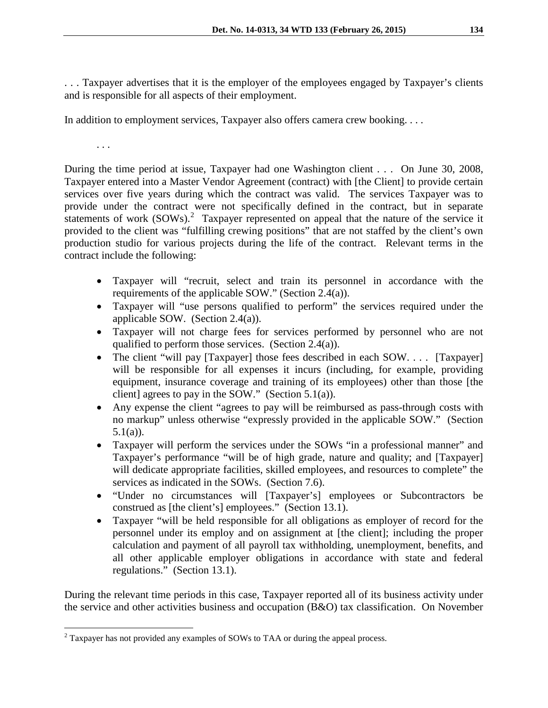. . . Taxpayer advertises that it is the employer of the employees engaged by Taxpayer's clients and is responsible for all aspects of their employment.

In addition to employment services, Taxpayer also offers camera crew booking. . . .

. . .

During the time period at issue, Taxpayer had one Washington client . . . On June 30, 2008, Taxpayer entered into a Master Vendor Agreement (contract) with [the Client] to provide certain services over five years during which the contract was valid. The services Taxpayer was to provide under the contract were not specifically defined in the contract, but in separate statements of work (SOWs).<sup>[2](#page-1-0)</sup> Taxpayer represented on appeal that the nature of the service it provided to the client was "fulfilling crewing positions" that are not staffed by the client's own production studio for various projects during the life of the contract. Relevant terms in the contract include the following:

- Taxpayer will "recruit, select and train its personnel in accordance with the requirements of the applicable SOW." (Section 2.4(a)).
- Taxpayer will "use persons qualified to perform" the services required under the applicable SOW. (Section 2.4(a)).
- Taxpayer will not charge fees for services performed by personnel who are not qualified to perform those services. (Section 2.4(a)).
- The client "will pay [Taxpayer] those fees described in each SOW.... [Taxpayer] will be responsible for all expenses it incurs (including, for example, providing equipment, insurance coverage and training of its employees) other than those [the client] agrees to pay in the SOW." (Section 5.1(a)).
- Any expense the client "agrees to pay will be reimbursed as pass-through costs with no markup" unless otherwise "expressly provided in the applicable SOW." (Section  $5.1(a)$ ).
- Taxpayer will perform the services under the SOWs "in a professional manner" and Taxpayer's performance "will be of high grade, nature and quality; and [Taxpayer] will dedicate appropriate facilities, skilled employees, and resources to complete" the services as indicated in the SOWs. (Section 7.6).
- "Under no circumstances will [Taxpayer's] employees or Subcontractors be construed as [the client's] employees." (Section 13.1).
- Taxpayer "will be held responsible for all obligations as employer of record for the personnel under its employ and on assignment at [the client]; including the proper calculation and payment of all payroll tax withholding, unemployment, benefits, and all other applicable employer obligations in accordance with state and federal regulations." (Section 13.1).

During the relevant time periods in this case, Taxpayer reported all of its business activity under the service and other activities business and occupation (B&O) tax classification. On November

<span id="page-1-0"></span><sup>&</sup>lt;sup>2</sup> Taxpayer has not provided any examples of SOWs to TAA or during the appeal process.  $\overline{a}$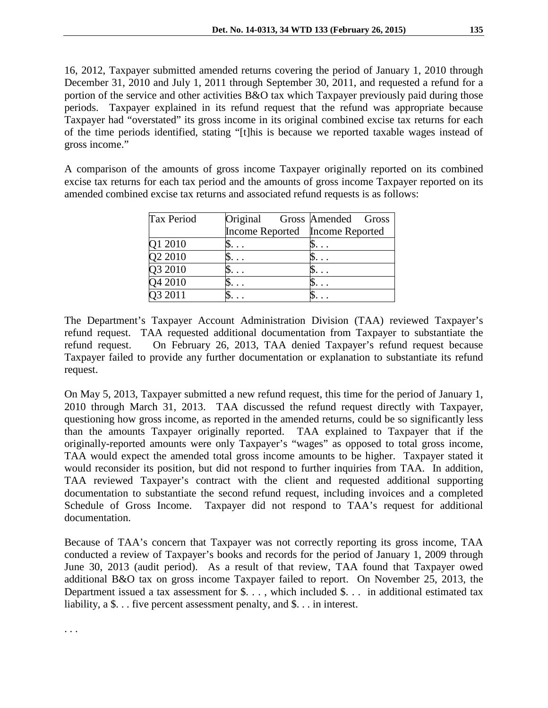16, 2012, Taxpayer submitted amended returns covering the period of January 1, 2010 through December 31, 2010 and July 1, 2011 through September 30, 2011, and requested a refund for a portion of the service and other activities B&O tax which Taxpayer previously paid during those periods. Taxpayer explained in its refund request that the refund was appropriate because Taxpayer had "overstated" its gross income in its original combined excise tax returns for each of the time periods identified, stating "[t]his is because we reported taxable wages instead of gross income."

A comparison of the amounts of gross income Taxpayer originally reported on its combined excise tax returns for each tax period and the amounts of gross income Taxpayer reported on its amended combined excise tax returns and associated refund requests is as follows:

| <b>Tax Period</b> |                                 | Original Gross Amended Gross |  |  |
|-------------------|---------------------------------|------------------------------|--|--|
|                   | Income Reported Income Reported |                              |  |  |
| Q1 2010           |                                 |                              |  |  |
| Q2 2010           |                                 |                              |  |  |
| Q3 2010           |                                 |                              |  |  |
| Q4 2010           |                                 |                              |  |  |
| 32011             |                                 |                              |  |  |

The Department's Taxpayer Account Administration Division (TAA) reviewed Taxpayer's refund request. TAA requested additional documentation from Taxpayer to substantiate the refund request. On February 26, 2013, TAA denied Taxpayer's refund request because Taxpayer failed to provide any further documentation or explanation to substantiate its refund request.

On May 5, 2013, Taxpayer submitted a new refund request, this time for the period of January 1, 2010 through March 31, 2013. TAA discussed the refund request directly with Taxpayer, questioning how gross income, as reported in the amended returns, could be so significantly less than the amounts Taxpayer originally reported. TAA explained to Taxpayer that if the originally-reported amounts were only Taxpayer's "wages" as opposed to total gross income, TAA would expect the amended total gross income amounts to be higher. Taxpayer stated it would reconsider its position, but did not respond to further inquiries from TAA. In addition, TAA reviewed Taxpayer's contract with the client and requested additional supporting documentation to substantiate the second refund request, including invoices and a completed Schedule of Gross Income. Taxpayer did not respond to TAA's request for additional documentation.

Because of TAA's concern that Taxpayer was not correctly reporting its gross income, TAA conducted a review of Taxpayer's books and records for the period of January 1, 2009 through June 30, 2013 (audit period). As a result of that review, TAA found that Taxpayer owed additional B&O tax on gross income Taxpayer failed to report. On November 25, 2013, the Department issued a tax assessment for  $\hat{\mathcal{S}}$ ..., which included  $\hat{\mathcal{S}}$ ... in additional estimated tax liability, a \$. . . five percent assessment penalty, and \$. . . in interest.

. . .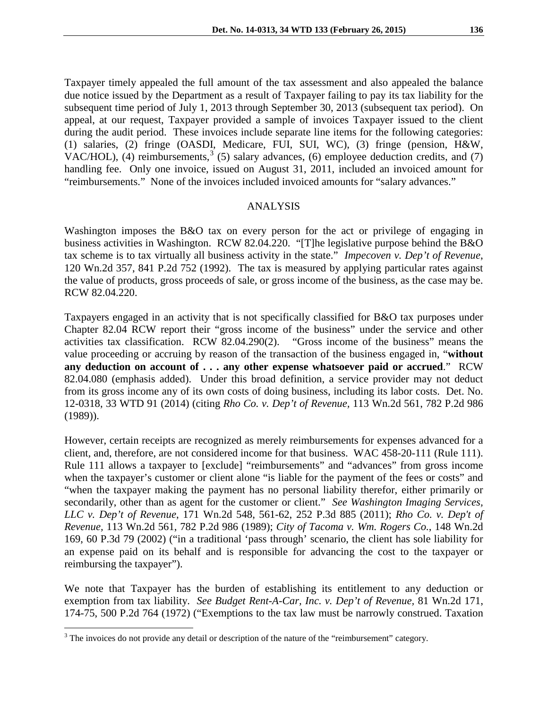Taxpayer timely appealed the full amount of the tax assessment and also appealed the balance due notice issued by the Department as a result of Taxpayer failing to pay its tax liability for the subsequent time period of July 1, 2013 through September 30, 2013 (subsequent tax period). On appeal, at our request, Taxpayer provided a sample of invoices Taxpayer issued to the client during the audit period. These invoices include separate line items for the following categories: (1) salaries, (2) fringe (OASDI, Medicare, FUI, SUI, WC), (3) fringe (pension, H&W, VAC/HOL), (4) reimbursements,  $3^{3}$  $3^{3}$  (5) salary advances, (6) employee deduction credits, and (7) handling fee. Only one invoice, issued on August 31, 2011, included an invoiced amount for "reimbursements." None of the invoices included invoiced amounts for "salary advances."

### ANALYSIS

Washington imposes the B&O tax on every person for the act or privilege of engaging in business activities in Washington. RCW 82.04.220. "[T]he legislative purpose behind the B&O tax scheme is to tax virtually all business activity in the state." *Impecoven v. Dep't of Revenue*, 120 Wn.2d 357, 841 P.2d 752 (1992). The tax is measured by applying particular rates against the value of products, gross proceeds of sale, or gross income of the business, as the case may be. RCW 82.04.220.

Taxpayers engaged in an activity that is not specifically classified for B&O tax purposes under Chapter 82.04 RCW report their "gross income of the business" under the service and other activities tax classification. RCW 82.04.290(2). "Gross income of the business" means the value proceeding or accruing by reason of the transaction of the business engaged in, "**without any deduction on account of . . . any other expense whatsoever paid or accrued**." RCW 82.04.080 (emphasis added). Under this broad definition, a service provider may not deduct from its gross income any of its own costs of doing business, including its labor costs. Det. No. 12-0318, 33 WTD 91 (2014) (citing *Rho Co. v. Dep't of Revenue,* 113 Wn.2d 561, 782 P.2d 986 (1989)).

However, certain receipts are recognized as merely reimbursements for expenses advanced for a client, and, therefore, are not considered income for that business. WAC 458-20-111 (Rule 111). Rule 111 allows a taxpayer to [exclude] "reimbursements" and "advances" from gross income when the taxpayer's customer or client alone "is liable for the payment of the fees or costs" and "when the taxpayer making the payment has no personal liability therefor, either primarily or secondarily, other than as agent for the customer or client." *See Washington Imaging Services, LLC v. Dep't of Revenue*, 171 Wn.2d 548, 561-62, 252 P.3d 885 (2011); *Rho Co. v. Dep't of Revenue,* 113 Wn.2d 561, 782 P.2d 986 (1989); *City of Tacoma v. Wm. Rogers Co.*, 148 Wn.2d 169, 60 P.3d 79 (2002) ("in a traditional 'pass through' scenario, the client has sole liability for an expense paid on its behalf and is responsible for advancing the cost to the taxpayer or reimbursing the taxpayer").

We note that Taxpayer has the burden of establishing its entitlement to any deduction or exemption from tax liability. *See Budget Rent-A-Car, Inc. v. Dep't of Revenue,* 81 Wn.2d 171, 174-75, 500 P.2d 764 (1972) ("Exemptions to the tax law must be narrowly construed. Taxation

 $\overline{a}$ 

<span id="page-3-0"></span> $3$  The invoices do not provide any detail or description of the nature of the "reimbursement" category.